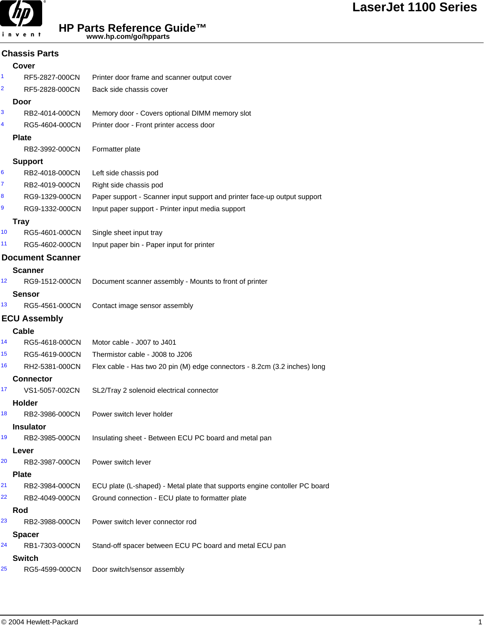

# **HP Parts Reference Guide™**

**www.hp.com/go/hpparts**

|                | <b>Chassis Parts</b>    |                                                                            |
|----------------|-------------------------|----------------------------------------------------------------------------|
|                | Cover                   |                                                                            |
| 1              | RF5-2827-000CN          | Printer door frame and scanner output cover                                |
| $\overline{2}$ | RF5-2828-000CN          | Back side chassis cover                                                    |
|                | Door                    |                                                                            |
| 3              | RB2-4014-000CN          | Memory door - Covers optional DIMM memory slot                             |
| 4              | RG5-4604-000CN          | Printer door - Front printer access door                                   |
|                | <b>Plate</b>            |                                                                            |
|                | RB2-3992-000CN          | Formatter plate                                                            |
|                | <b>Support</b>          |                                                                            |
| 6              | RB2-4018-000CN          | Left side chassis pod                                                      |
| 7              | RB2-4019-000CN          | Right side chassis pod                                                     |
| 8              | RG9-1329-000CN          | Paper support - Scanner input support and printer face-up output support   |
| 9              | RG9-1332-000CN          | Input paper support - Printer input media support                          |
|                | <b>Tray</b>             |                                                                            |
| 10             | RG5-4601-000CN          | Single sheet input tray                                                    |
| 11             | RG5-4602-000CN          | Input paper bin - Paper input for printer                                  |
|                | <b>Document Scanner</b> |                                                                            |
|                | <b>Scanner</b>          |                                                                            |
| 12             | RG9-1512-000CN          | Document scanner assembly - Mounts to front of printer                     |
|                | Sensor                  |                                                                            |
| 13             | RG5-4561-000CN          | Contact image sensor assembly                                              |
|                | <b>ECU Assembly</b>     |                                                                            |
|                | Cable                   |                                                                            |
| 14             | RG5-4618-000CN          | Motor cable - J007 to J401                                                 |
| 15             | RG5-4619-000CN          | Thermistor cable - J008 to J206                                            |
| 16             | RH2-5381-000CN          | Flex cable - Has two 20 pin (M) edge connectors - 8.2cm (3.2 inches) long  |
|                | <b>Connector</b>        |                                                                            |
| 17             | VS1-5057-002CN          | SL2/Tray 2 solenoid electrical connector                                   |
|                | Holder                  |                                                                            |
| 18             | RB2-3986-000CN          | Power switch lever holder                                                  |
|                | <b>Insulator</b>        |                                                                            |
| 19             | RB2-3985-000CN          | Insulating sheet - Between ECU PC board and metal pan                      |
|                | Lever                   |                                                                            |
| 20             | RB2-3987-000CN          | Power switch lever                                                         |
|                | <b>Plate</b>            |                                                                            |
| 21             | RB2-3984-000CN          | ECU plate (L-shaped) - Metal plate that supports engine contoller PC board |
| 22             | RB2-4049-000CN          | Ground connection - ECU plate to formatter plate                           |
|                | Rod                     |                                                                            |
| 23             | RB2-3988-000CN          | Power switch lever connector rod                                           |
|                | <b>Spacer</b>           |                                                                            |
| 24             | RB1-7303-000CN          | Stand-off spacer between ECU PC board and metal ECU pan                    |
|                | <b>Switch</b>           |                                                                            |
| 25             | RG5-4599-000CN          | Door switch/sensor assembly                                                |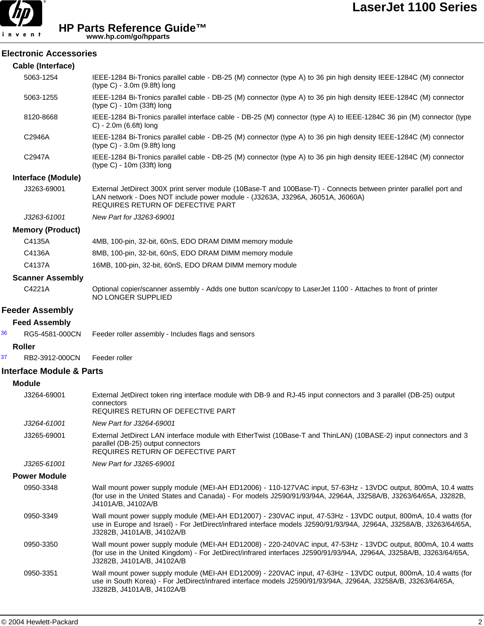

#### **Electronic Accessories**

|    | Cable (Interface)                   |                                                                                                                                                                                                                                                                      |
|----|-------------------------------------|----------------------------------------------------------------------------------------------------------------------------------------------------------------------------------------------------------------------------------------------------------------------|
|    | 5063-1254                           | IEEE-1284 Bi-Tronics parallel cable - DB-25 (M) connector (type A) to 36 pin high density IEEE-1284C (M) connector<br>(type C) - 3.0m (9.8ft) long                                                                                                                   |
|    | 5063-1255                           | IEEE-1284 Bi-Tronics parallel cable - DB-25 (M) connector (type A) to 36 pin high density IEEE-1284C (M) connector<br>$(type C) - 10m (33ft)$ long                                                                                                                   |
|    | 8120-8668                           | IEEE-1284 Bi-Tronics parallel interface cable - DB-25 (M) connector (type A) to IEEE-1284C 36 pin (M) connector (type<br>$C$ ) - 2.0m (6.6ft) long                                                                                                                   |
|    | C2946A                              | IEEE-1284 Bi-Tronics parallel cable - DB-25 (M) connector (type A) to 36 pin high density IEEE-1284C (M) connector<br>$(type C) - 3.0m (9.8ft) long$                                                                                                                 |
|    | C2947A                              | IEEE-1284 Bi-Tronics parallel cable - DB-25 (M) connector (type A) to 36 pin high density IEEE-1284C (M) connector<br>$(type C) - 10m (33ft)$ long                                                                                                                   |
|    | Interface (Module)                  |                                                                                                                                                                                                                                                                      |
|    | J3263-69001                         | External JetDirect 300X print server module (10Base-T and 100Base-T) - Connects between printer parallel port and<br>LAN network - Does NOT include power module - (J3263A, J3296A, J6051A, J6060A)<br>REQUIRES RETURN OF DEFECTIVE PART                             |
|    | J3263-61001                         | New Part for J3263-69001                                                                                                                                                                                                                                             |
|    | <b>Memory (Product)</b>             |                                                                                                                                                                                                                                                                      |
|    | C4135A                              | 4MB, 100-pin, 32-bit, 60nS, EDO DRAM DIMM memory module                                                                                                                                                                                                              |
|    | C4136A                              | 8MB, 100-pin, 32-bit, 60nS, EDO DRAM DIMM memory module                                                                                                                                                                                                              |
|    | C4137A                              | 16MB, 100-pin, 32-bit, 60nS, EDO DRAM DIMM memory module                                                                                                                                                                                                             |
|    | <b>Scanner Assembly</b>             |                                                                                                                                                                                                                                                                      |
|    | C4221A                              | Optional copier/scanner assembly - Adds one button scan/copy to LaserJet 1100 - Attaches to front of printer<br>NO LONGER SUPPLIED                                                                                                                                   |
|    | <b>Feeder Assembly</b>              |                                                                                                                                                                                                                                                                      |
|    | <b>Feed Assembly</b>                |                                                                                                                                                                                                                                                                      |
| 36 | RG5-4581-000CN                      | Feeder roller assembly - Includes flags and sensors                                                                                                                                                                                                                  |
|    | <b>Roller</b>                       |                                                                                                                                                                                                                                                                      |
| 37 | RB2-3912-000CN                      | Feeder roller                                                                                                                                                                                                                                                        |
|    | <b>Interface Module &amp; Parts</b> |                                                                                                                                                                                                                                                                      |
|    | <b>Module</b>                       |                                                                                                                                                                                                                                                                      |
|    | J3264-69001                         | External JetDirect token ring interface module with DB-9 and RJ-45 input connectors and 3 parallel (DB-25) output<br>connectors<br>REQUIRES RETURN OF DEFECTIVE PART                                                                                                 |
|    | J3264-61001                         | New Part for J3264-69001                                                                                                                                                                                                                                             |
|    | J3265-69001                         | External JetDirect LAN interface module with EtherTwist (10Base-T and ThinLAN) (10BASE-2) input connectors and 3<br>parallel (DB-25) output connectors<br>REQUIRES RETURN OF DEFECTIVE PART                                                                          |
|    | J3265-61001                         | New Part for J3265-69001                                                                                                                                                                                                                                             |
|    | <b>Power Module</b>                 |                                                                                                                                                                                                                                                                      |
|    | 0950-3348                           | Wall mount power supply module (MEI-AH ED12006) - 110-127VAC input, 57-63Hz - 13VDC output, 800mA, 10.4 watts<br>(for use in the United States and Canada) - For models J2590/91/93/94A, J2964A, J3258A/B, J3263/64/65A, J3282B,<br>J4101A/B, J4102A/B               |
|    | 0950-3349                           | Wall mount power supply module (MEI-AH ED12007) - 230VAC input, 47-53Hz - 13VDC output, 800mA, 10.4 watts (for<br>use in Europe and Israel) - For JetDirect/infrared interface models J2590/91/93/94A, J2964A, J3258A/B, J3263/64/65A,<br>J3282B, J4101A/B, J4102A/B |
|    | 0950-3350                           | Wall mount power supply module (MEI-AH ED12008) - 220-240VAC input, 47-53Hz - 13VDC output, 800mA, 10.4 watts<br>(for use in the United Kingdom) - For JetDirect/infrared interfaces J2590/91/93/94A, J2964A, J3258A/B, J3263/64/65A,<br>J3282B, J4101A/B, J4102A/B  |
|    | 0950-3351                           | Wall mount power supply module (MEI-AH ED12009) - 220VAC input, 47-63Hz - 13VDC output, 800mA, 10.4 watts (for<br>use in South Korea) - For JetDirect/infrared interface models J2590/91/93/94A, J2964A, J3258A/B, J3263/64/65A,<br>J3282B, J4101A/B, J4102A/B       |

**LaserJet 1100 Series**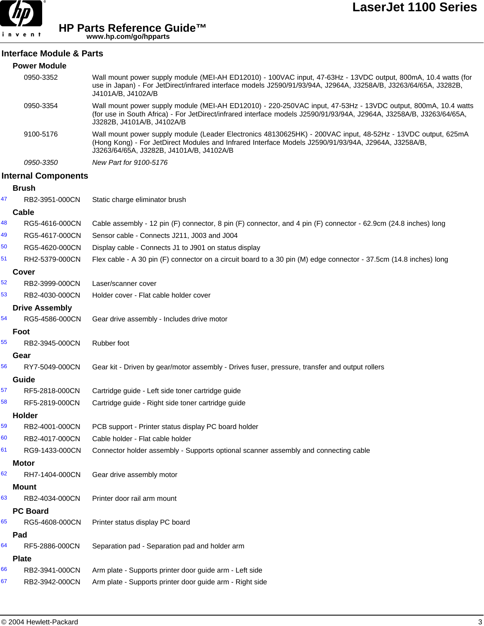

|    | <b>Power Module</b>        |                                                                                                                                                                                                                                                                     |
|----|----------------------------|---------------------------------------------------------------------------------------------------------------------------------------------------------------------------------------------------------------------------------------------------------------------|
|    | 0950-3352                  | Wall mount power supply module (MEI-AH ED12010) - 100VAC input, 47-63Hz - 13VDC output, 800mA, 10.4 watts (for<br>use in Japan) - For JetDirect/infrared interface models J2590/91/93/94A, J2964A, J3258A/B, J3263/64/65A, J3282B,<br>J4101A/B, J4102A/B            |
|    | 0950-3354                  | Wall mount power supply module (MEI-AH ED12010) - 220-250VAC input, 47-53Hz - 13VDC output, 800mA, 10.4 watts<br>(for use in South Africa) - For JetDirect/infrared interface models J2590/91/93/94A, J2964A, J3258A/B, J3263/64/65A,<br>J3282B, J4101A/B, J4102A/B |
|    | 9100-5176                  | Wall mount power supply module (Leader Electronics 48130625HK) - 200VAC input, 48-52Hz - 13VDC output, 625mA<br>(Hong Kong) - For JetDirect Modules and Infrared Interface Models J2590/91/93/94A, J2964A, J3258A/B,<br>J3263/64/65A, J3282B, J4101A/B, J4102A/B    |
|    | 0950-3350                  | New Part for 9100-5176                                                                                                                                                                                                                                              |
|    | <b>Internal Components</b> |                                                                                                                                                                                                                                                                     |
|    | <b>Brush</b>               |                                                                                                                                                                                                                                                                     |
| 47 | RB2-3951-000CN             | Static charge eliminator brush                                                                                                                                                                                                                                      |
|    | Cable                      |                                                                                                                                                                                                                                                                     |
| 48 | RG5-4616-000CN             | Cable assembly - 12 pin (F) connector, 8 pin (F) connector, and 4 pin (F) connector - 62.9cm (24.8 inches) long                                                                                                                                                     |
| 49 | RG5-4617-000CN             | Sensor cable - Connects J211, J003 and J004                                                                                                                                                                                                                         |
| 50 | RG5-4620-000CN             | Display cable - Connects J1 to J901 on status display                                                                                                                                                                                                               |
| 51 | RH2-5379-000CN             | Flex cable - A 30 pin (F) connector on a circuit board to a 30 pin (M) edge connector - 37.5cm (14.8 inches) long                                                                                                                                                   |
|    | Cover                      |                                                                                                                                                                                                                                                                     |
| 52 | RB2-3999-000CN             | Laser/scanner cover                                                                                                                                                                                                                                                 |
| 53 | RB2-4030-000CN             | Holder cover - Flat cable holder cover                                                                                                                                                                                                                              |
|    | <b>Drive Assembly</b>      |                                                                                                                                                                                                                                                                     |
| 54 | RG5-4586-000CN             | Gear drive assembly - Includes drive motor                                                                                                                                                                                                                          |
|    | Foot                       |                                                                                                                                                                                                                                                                     |
| 55 | RB2-3945-000CN             | Rubber foot                                                                                                                                                                                                                                                         |
|    | Gear                       |                                                                                                                                                                                                                                                                     |
| 56 | RY7-5049-000CN             | Gear kit - Driven by gear/motor assembly - Drives fuser, pressure, transfer and output rollers                                                                                                                                                                      |
|    | Guide                      |                                                                                                                                                                                                                                                                     |
| 57 | RF5-2818-000CN             | Cartridge guide - Left side toner cartridge guide                                                                                                                                                                                                                   |
| 58 | RF5-2819-000CN             | Cartridge guide - Right side toner cartridge guide                                                                                                                                                                                                                  |
|    | <b>Holder</b>              |                                                                                                                                                                                                                                                                     |
| 59 | RB2-4001-000CN             | PCB support - Printer status display PC board holder                                                                                                                                                                                                                |
| 60 | RB2-4017-000CN             | Cable holder - Flat cable holder                                                                                                                                                                                                                                    |
| 61 | RG9-1433-000CN             | Connector holder assembly - Supports optional scanner assembly and connecting cable                                                                                                                                                                                 |
|    | <b>Motor</b>               |                                                                                                                                                                                                                                                                     |
| 62 | RH7-1404-000CN             | Gear drive assembly motor                                                                                                                                                                                                                                           |
|    | Mount                      |                                                                                                                                                                                                                                                                     |
| 63 | RB2-4034-000CN             | Printer door rail arm mount                                                                                                                                                                                                                                         |
|    | <b>PC Board</b>            |                                                                                                                                                                                                                                                                     |
| 65 | RG5-4608-000CN             | Printer status display PC board                                                                                                                                                                                                                                     |
|    | Pad                        |                                                                                                                                                                                                                                                                     |
| 64 | RF5-2886-000CN             | Separation pad - Separation pad and holder arm                                                                                                                                                                                                                      |
|    | <b>Plate</b>               |                                                                                                                                                                                                                                                                     |
| 66 | RB2-3941-000CN             | Arm plate - Supports printer door guide arm - Left side                                                                                                                                                                                                             |
| 67 | RB2-3942-000CN             | Arm plate - Supports printer door guide arm - Right side                                                                                                                                                                                                            |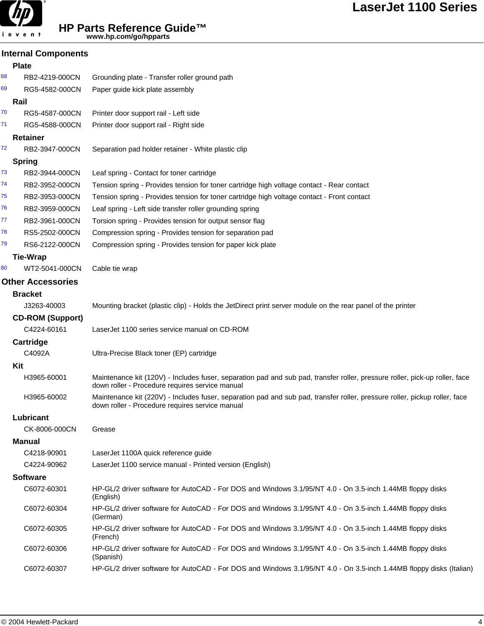

invent

## **Internal Components**

|    | <b>Plate</b>             |                                                                                                                                                                                |  |
|----|--------------------------|--------------------------------------------------------------------------------------------------------------------------------------------------------------------------------|--|
| 68 | RB2-4219-000CN           | Grounding plate - Transfer roller ground path                                                                                                                                  |  |
| 69 | RG5-4582-000CN           | Paper guide kick plate assembly                                                                                                                                                |  |
|    | Rail                     |                                                                                                                                                                                |  |
| 70 | RG5-4587-000CN           | Printer door support rail - Left side                                                                                                                                          |  |
| 71 | RG5-4588-000CN           | Printer door support rail - Right side                                                                                                                                         |  |
|    | <b>Retainer</b>          |                                                                                                                                                                                |  |
| 72 | RB2-3947-000CN           | Separation pad holder retainer - White plastic clip                                                                                                                            |  |
|    | <b>Spring</b>            |                                                                                                                                                                                |  |
| 73 | RB2-3944-000CN           | Leaf spring - Contact for toner cartridge                                                                                                                                      |  |
| 74 | RB2-3952-000CN           | Tension spring - Provides tension for toner cartridge high voltage contact - Rear contact                                                                                      |  |
| 75 | RB2-3953-000CN           | Tension spring - Provides tension for toner cartridge high voltage contact - Front contact                                                                                     |  |
| 76 | RB2-3959-000CN           | Leaf spring - Left side transfer roller grounding spring                                                                                                                       |  |
| 77 | RB2-3961-000CN           | Torsion spring - Provides tension for output sensor flag                                                                                                                       |  |
| 78 | RS5-2502-000CN           | Compression spring - Provides tension for separation pad                                                                                                                       |  |
| 79 | RS6-2122-000CN           | Compression spring - Provides tension for paper kick plate                                                                                                                     |  |
|    | <b>Tie-Wrap</b>          |                                                                                                                                                                                |  |
| 80 | WT2-5041-000CN           | Cable tie wrap                                                                                                                                                                 |  |
|    | <b>Other Accessories</b> |                                                                                                                                                                                |  |
|    | <b>Bracket</b>           |                                                                                                                                                                                |  |
|    | J3263-40003              | Mounting bracket (plastic clip) - Holds the JetDirect print server module on the rear panel of the printer                                                                     |  |
|    | <b>CD-ROM (Support)</b>  |                                                                                                                                                                                |  |
|    | C4224-60161              | LaserJet 1100 series service manual on CD-ROM                                                                                                                                  |  |
|    | Cartridge                |                                                                                                                                                                                |  |
|    | C4092A                   | Ultra-Precise Black toner (EP) cartridge                                                                                                                                       |  |
|    | Kit                      |                                                                                                                                                                                |  |
|    | H3965-60001              | Maintenance kit (120V) - Includes fuser, separation pad and sub pad, transfer roller, pressure roller, pick-up roller, face<br>down roller - Procedure requires service manual |  |
|    | H3965-60002              | Maintenance kit (220V) - Includes fuser, separation pad and sub pad, transfer roller, pressure roller, pickup roller, face<br>down roller - Procedure requires service manual  |  |
|    | Lubricant                |                                                                                                                                                                                |  |
|    | CK-8006-000CN            | Grease                                                                                                                                                                         |  |
|    | Manual                   |                                                                                                                                                                                |  |
|    | C4218-90901              | LaserJet 1100A quick reference guide                                                                                                                                           |  |
|    | C4224-90962              | LaserJet 1100 service manual - Printed version (English)                                                                                                                       |  |
|    | <b>Software</b>          |                                                                                                                                                                                |  |
|    | C6072-60301              | HP-GL/2 driver software for AutoCAD - For DOS and Windows 3.1/95/NT 4.0 - On 3.5-inch 1.44MB floppy disks<br>(English)                                                         |  |
|    | C6072-60304              | HP-GL/2 driver software for AutoCAD - For DOS and Windows 3.1/95/NT 4.0 - On 3.5-inch 1.44MB floppy disks<br>(German)                                                          |  |
|    | C6072-60305              | HP-GL/2 driver software for AutoCAD - For DOS and Windows 3.1/95/NT 4.0 - On 3.5-inch 1.44MB floppy disks<br>(French)                                                          |  |
|    | C6072-60306              | HP-GL/2 driver software for AutoCAD - For DOS and Windows 3.1/95/NT 4.0 - On 3.5-inch 1.44MB floppy disks<br>(Spanish)                                                         |  |
|    | C6072-60307              | HP-GL/2 driver software for AutoCAD - For DOS and Windows 3.1/95/NT 4.0 - On 3.5-inch 1.44MB floppy disks (Italian)                                                            |  |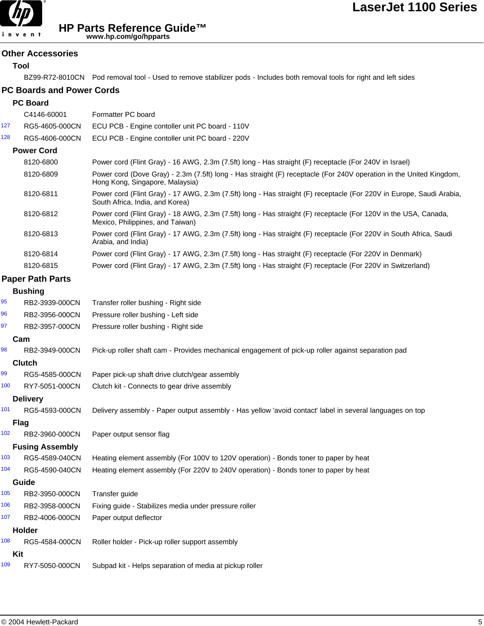

### **Other Accessories**

#### **Tool**

BZ99-R72-8010CN Pod removal tool - Used to remove stabilizer pods - Includes both removal tools for right and left sides

### **PC Boards and Power Cords**

**PC Board**

|     | <b>PC Board</b>         |                                                                                                                                                         |
|-----|-------------------------|---------------------------------------------------------------------------------------------------------------------------------------------------------|
|     | C4146-60001             | Formatter PC board                                                                                                                                      |
| 127 | RG5-4605-000CN          | ECU PCB - Engine contoller unit PC board - 110V                                                                                                         |
| 128 | RG5-4606-000CN          | ECU PCB - Engine contoller unit PC board - 220V                                                                                                         |
|     | <b>Power Cord</b>       |                                                                                                                                                         |
|     | 8120-6800               | Power cord (Flint Gray) - 16 AWG, 2.3m (7.5ft) long - Has straight (F) receptacle (For 240V in Israel)                                                  |
|     | 8120-6809               | Power cord (Dove Gray) - 2.3m (7.5ft) long - Has straight (F) receptacle (For 240V operation in the United Kingdom,<br>Hong Kong, Singapore, Malaysia)  |
|     | 8120-6811               | Power cord (Flint Gray) - 17 AWG, 2.3m (7.5ft) long - Has straight (F) receptacle (For 220V in Europe, Saudi Arabia,<br>South Africa, India, and Korea) |
|     | 8120-6812               | Power cord (Flint Gray) - 18 AWG, 2.3m (7.5ft) long - Has straight (F) receptacle (For 120V in the USA, Canada,<br>Mexico, Philippines, and Taiwan)     |
|     | 8120-6813               | Power cord (Flint Gray) - 17 AWG, 2.3m (7.5ft) long - Has straight (F) receptacle (For 220V in South Africa, Saudi<br>Arabia, and India)                |
|     | 8120-6814               | Power cord (Flint Gray) - 17 AWG, 2.3m (7.5ft) long - Has straight (F) receptacle (For 220V in Denmark)                                                 |
|     | 8120-6815               | Power cord (Flint Gray) - 17 AWG, 2.3m (7.5ft) long - Has straight (F) receptacle (For 220V in Switzerland)                                             |
|     | <b>Paper Path Parts</b> |                                                                                                                                                         |
|     | <b>Bushing</b>          |                                                                                                                                                         |
| 95  | RB2-3939-000CN          | Transfer roller bushing - Right side                                                                                                                    |
| 96  | RB2-3956-000CN          | Pressure roller bushing - Left side                                                                                                                     |
| 97  | RB2-3957-000CN          | Pressure roller bushing - Right side                                                                                                                    |
|     | Cam                     |                                                                                                                                                         |
| 98  | RB2-3949-000CN          | Pick-up roller shaft cam - Provides mechanical engagement of pick-up roller against separation pad                                                      |
|     | <b>Clutch</b>           |                                                                                                                                                         |
| 99  | RG5-4585-000CN          | Paper pick-up shaft drive clutch/gear assembly                                                                                                          |
| 100 | RY7-5051-000CN          | Clutch kit - Connects to gear drive assembly                                                                                                            |
|     | <b>Delivery</b>         |                                                                                                                                                         |
| 101 | RG5-4593-000CN          | Delivery assembly - Paper output assembly - Has yellow 'avoid contact' label in several languages on top                                                |
|     | <b>Flag</b>             |                                                                                                                                                         |
| 102 | RB2-3960-000CN          | Paper output sensor flag                                                                                                                                |
|     | <b>Fusing Assembly</b>  |                                                                                                                                                         |
| 103 | RG5-4589-040CN          | Heating element assembly (For 100V to 120V operation) - Bonds toner to paper by heat                                                                    |
| 104 | RG5-4590-040CN          | Heating element assembly (For 220V to 240V operation) - Bonds toner to paper by heat                                                                    |
|     | Guide                   |                                                                                                                                                         |
| 105 | RB2-3950-000CN          | Transfer guide                                                                                                                                          |
| 106 | RB2-3958-000CN          | Fixing guide - Stabilizes media under pressure roller                                                                                                   |
| 107 | RB2-4006-000CN          | Paper output deflector                                                                                                                                  |
|     | Holder                  |                                                                                                                                                         |
| 108 | RG5-4584-000CN          | Roller holder - Pick-up roller support assembly                                                                                                         |
|     | Kit                     |                                                                                                                                                         |
| 109 | RY7-5050-000CN          | Subpad kit - Helps separation of media at pickup roller                                                                                                 |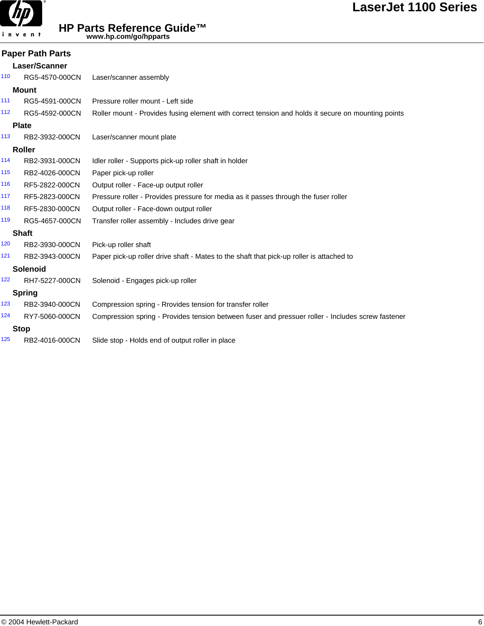

#### **HP Parts Reference Guide™ www.hp.com/go/hpparts**

**LaserJet 1100 Series**

|     | <b>Paper Path Parts</b> |                                                                                                    |
|-----|-------------------------|----------------------------------------------------------------------------------------------------|
|     | Laser/Scanner           |                                                                                                    |
| 110 | RG5-4570-000CN          | Laser/scanner assembly                                                                             |
|     | <b>Mount</b>            |                                                                                                    |
| 111 | RG5-4591-000CN          | Pressure roller mount - Left side                                                                  |
| 112 | RG5-4592-000CN          | Roller mount - Provides fusing element with correct tension and holds it secure on mounting points |
|     | <b>Plate</b>            |                                                                                                    |
| 113 | RB2-3932-000CN          | Laser/scanner mount plate                                                                          |
|     | Roller                  |                                                                                                    |
| 114 | RB2-3931-000CN          | Idler roller - Supports pick-up roller shaft in holder                                             |
| 115 | RB2-4026-000CN          | Paper pick-up roller                                                                               |
| 116 | RF5-2822-000CN          | Output roller - Face-up output roller                                                              |
| 117 | RF5-2823-000CN          | Pressure roller - Provides pressure for media as it passes through the fuser roller                |
| 118 | RF5-2830-000CN          | Output roller - Face-down output roller                                                            |
| 119 | RG5-4657-000CN          | Transfer roller assembly - Includes drive gear                                                     |
|     | <b>Shaft</b>            |                                                                                                    |
| 120 | RB2-3930-000CN          | Pick-up roller shaft                                                                               |
| 121 | RB2-3943-000CN          | Paper pick-up roller drive shaft - Mates to the shaft that pick-up roller is attached to           |
|     | Solenoid                |                                                                                                    |
| 122 | RH7-5227-000CN          | Solenoid - Engages pick-up roller                                                                  |
|     | <b>Spring</b>           |                                                                                                    |
| 123 | RB2-3940-000CN          | Compression spring - Rrovides tension for transfer roller                                          |
| 124 | RY7-5060-000CN          | Compression spring - Provides tension between fuser and pressuer roller - Includes screw fastener  |
|     | <b>Stop</b>             |                                                                                                    |
| 125 | RB2-4016-000CN          | Slide stop - Holds end of output roller in place                                                   |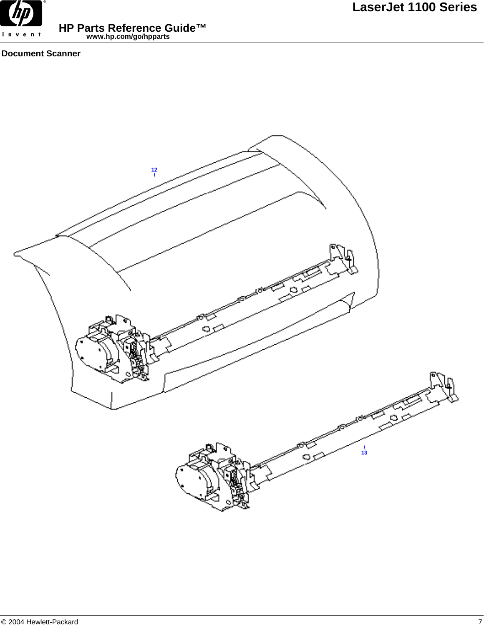

**Document Scanner**

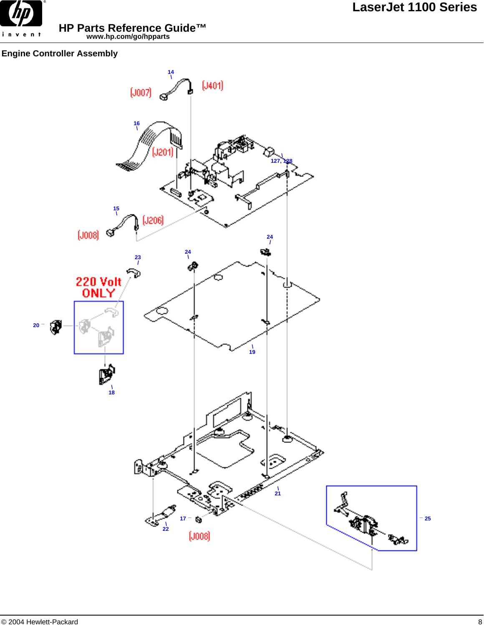

**HP Parts Reference Guide™ www.hp.com/go/hpparts**

## **Engine Controller Assembly**

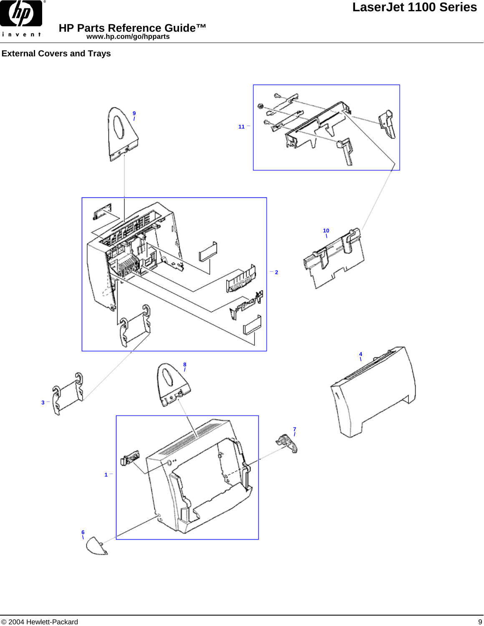

## **External Covers and Trays**

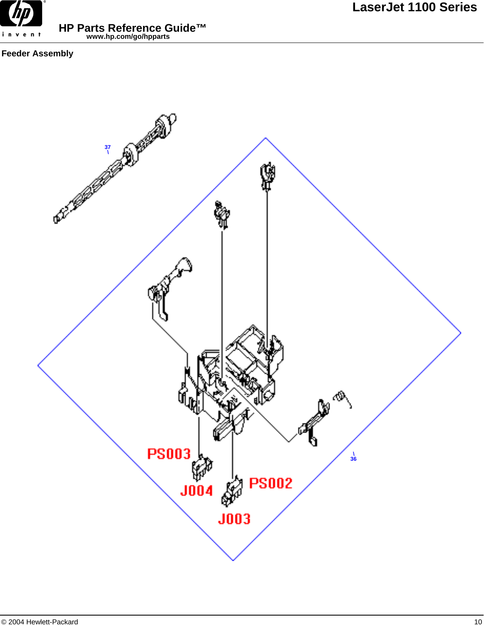

**Feeder Assembly**

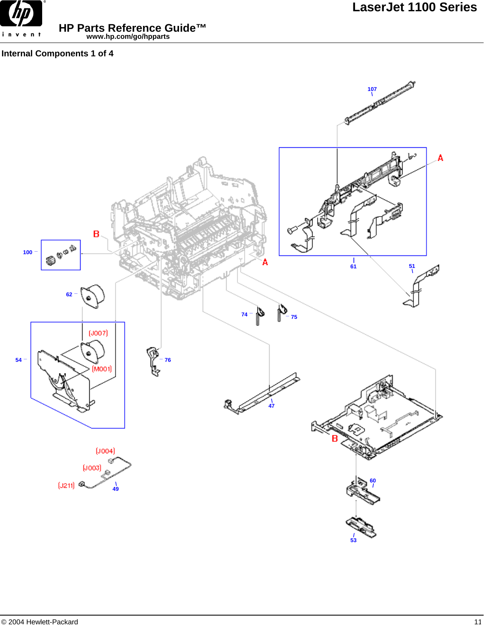

**Internal Components 1 of 4**

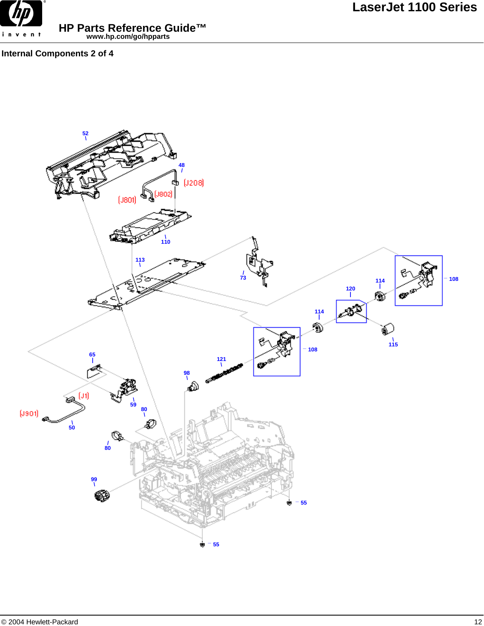

**Internal Components 2 of 4**

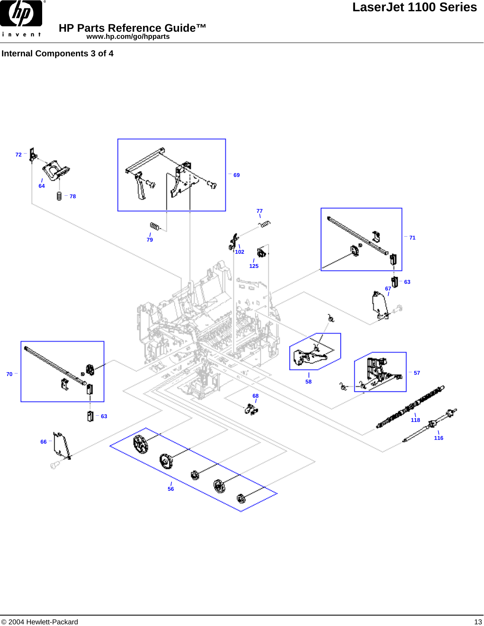

**Internal Components 3 of 4**

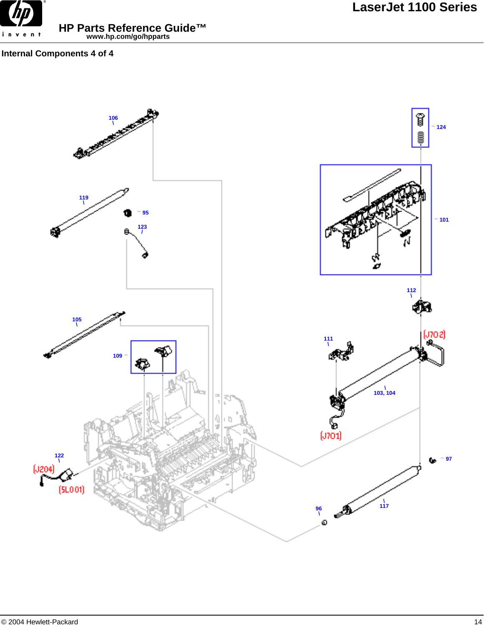

**Internal Components 4 of 4**